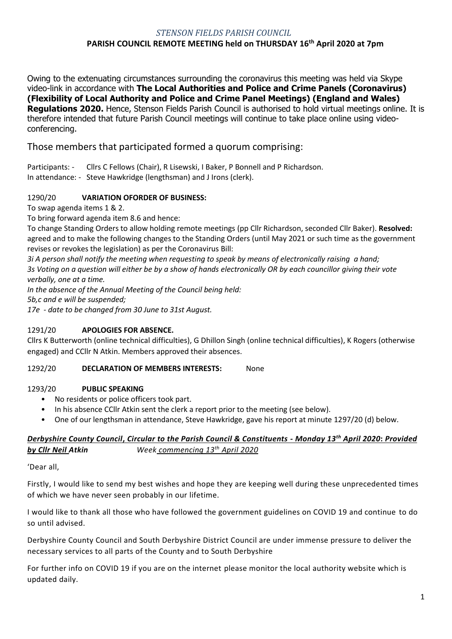## *STENSON FIELDS PARISH COUNCIL* **PARISH COUNCIL REMOTE MEETING held on THURSDAY 16th April 2020 at 7pm**

Owing to the extenuating circumstances surrounding the coronavirus this meeting was held via Skype video-link in accordance with **The Local Authorities and Police and Crime Panels (Coronavirus) (Flexibility of Local Authority and Police and Crime Panel Meetings) (England and Wales) Regulations 2020.** Hence, Stenson Fields Parish Council is authorised to hold virtual meetings online. It is therefore intended that future Parish Council meetings will continue to take place online using videoconferencing.

# Those members that participated formed a quorum comprising:

Participants: - Cllrs C Fellows (Chair), R Lisewski, I Baker, P Bonnell and P Richardson. In attendance: - Steve Hawkridge (lengthsman) and J Irons (clerk).

## 1290/20 **VARIATION OFORDER OF BUSINESS:**

To swap agenda items 1 & 2.

To bring forward agenda item 8.6 and hence:

To change Standing Orders to allow holding remote meetings (pp Cllr Richardson, seconded Cllr Baker). **Resolved:** agreed and to make the following changes to the Standing Orders (until May 2021 or such time as the government revises or revokes the legislation) as per the Coronavirus Bill:

*3i A person shall notify the meeting when requesting to speak by means of electronically raising a hand; 3s Voting on a question will either be by a show of hands electronically OR by each councillor giving their vote verbally, one at a time.* 

*In the absence of the Annual Meeting of the Council being held:*

*5b,c and e will be suspended;*

*17e - date to be changed from 30 June to 31st August.*

## 1291/20 **APOLOGIES FOR ABSENCE.**

Cllrs K Butterworth (online technical difficulties), G Dhillon Singh (online technical difficulties), K Rogers (otherwise engaged) and CCllr N Atkin. Members approved their absences.

## 1292/20 **DECLARATION OF MEMBERS INTERESTS:** None

#### 1293/20 **PUBLIC SPEAKING**

- No residents or police officers took part.
- In his absence CCllr Atkin sent the clerk a report prior to the meeting (see below).
- One of our lengthsman in attendance, Steve Hawkridge, gave his report at minute 1297/20 (d) below.

## *Derbyshire County Council***,** *Circular to the Parish Council & Constituents - Monday 13th April 2020***:** *Provided by Cllr Neil Atkin Week commencing 13th April 2020*

'Dear all,

Firstly, I would like to send my best wishes and hope they are keeping well during these unprecedented times of which we have never seen probably in our lifetime.

I would like to thank all those who have followed the government guidelines on COVID 19 and continue to do so until advised.

Derbyshire County Council and South Derbyshire District Council are under immense pressure to deliver the necessary services to all parts of the County and to South Derbyshire

For further info on COVID 19 if you are on the internet please monitor the local authority website which is updated daily.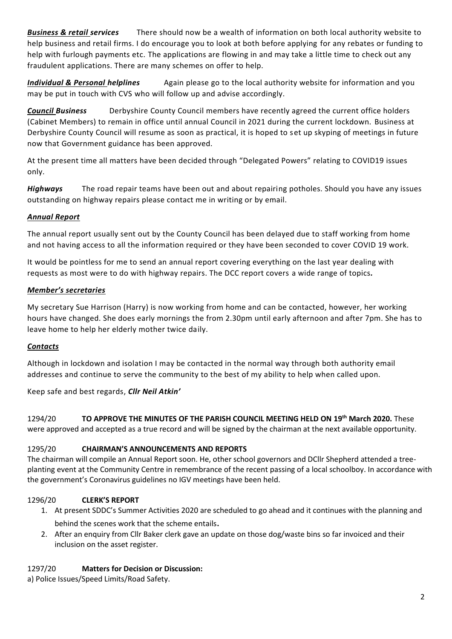*Business & retail services* There should now be a wealth of information on both local authority website to help business and retail firms. I do encourage you to look at both before applying for any rebates or funding to help with furlough payments etc. The applications are flowing in and may take a little time to check out any fraudulent applications. There are many schemes on offer to help.

*Individual & Personal helplines* Again please go to the local authority website for information and you may be put in touch with CVS who will follow up and advise accordingly.

*Council Business* Derbyshire County Council members have recently agreed the current office holders (Cabinet Members) to remain in office until annual Council in 2021 during the current lockdown. Business at Derbyshire County Council will resume as soon as practical, it is hoped to set up skyping of meetings in future now that Government guidance has been approved.

At the present time all matters have been decided through "Delegated Powers" relating to COVID19 issues only.

*Highways* The road repair teams have been out and about repairing potholes. Should you have any issues outstanding on highway repairs please contact me in writing or by email.

## *Annual Report*

The annual report usually sent out by the County Council has been delayed due to staff working from home and not having access to all the information required or they have been seconded to cover COVID 19 work.

It would be pointless for me to send an annual report covering everything on the last year dealing with requests as most were to do with highway repairs. The DCC report covers a wide range of topics*.*

## *Member's secretaries*

My secretary Sue Harrison (Harry) is now working from home and can be contacted, however, her working hours have changed. She does early mornings the from 2.30pm until early afternoon and after 7pm. She has to leave home to help her elderly mother twice daily.

#### *Contacts*

Although in lockdown and isolation I may be contacted in the normal way through both authority email addresses and continue to serve the community to the best of my ability to help when called upon.

#### Keep safe and best regards, *Cllr Neil Atkin'*

1294/20 **TO APPROVE THE MINUTES OF THE PARISH COUNCIL MEETING HELD ON 19th March 2020.** These were approved and accepted as a true record and will be signed by the chairman at the next available opportunity.

#### 1295/20 **CHAIRMAN'S ANNOUNCEMENTS AND REPORTS**

The chairman will compile an Annual Report soon. He, other school governors and DCllr Shepherd attended a treeplanting event at the Community Centre in remembrance of the recent passing of a local schoolboy. In accordance with the government's Coronavirus guidelines no IGV meetings have been held.

#### 1296/20 **CLERK'S REPORT**

- 1. At present SDDC's Summer Activities 2020 are scheduled to go ahead and it continues with the planning and behind the scenes work that the scheme entails.
- 2. After an enquiry from Cllr Baker clerk gave an update on those dog/waste bins so far invoiced and their inclusion on the asset register.

#### 1297/20 **Matters for Decision or Discussion:**

a) Police Issues/Speed Limits/Road Safety.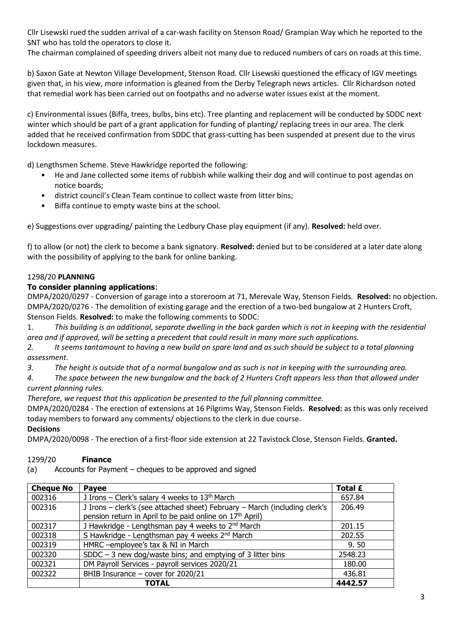Cllr Lisewski rued the sudden arrival of a car-wash facility on Stenson Road/ Grampian Way which he reported to the SNT who has told the operators to close it.

The chairman complained of speeding drivers albeit not many due to reduced numbers of cars on roads at this time.

b) Saxon Gate at Newton Village Development, Stenson Road. Cllr Lisewski questioned the efficacy of IGV meetings given that, in his view, more information is gleaned from the Derby Telegraph news articles. Cllr Richardson noted that remedial work has been carried out on footpaths and no adverse water issues exist at the moment.

c) Environmental issues (Biffa, trees, bulbs, bins etc). Tree planting and replacement will be conducted by SDDC next winter which should be part of a grant application for funding of planting/ replacing trees in our area. The clerk added that he received confirmation from SDDC that grass-cutting has been suspended at present due to the virus lockdown measures.

d) Lengthsmen Scheme. Steve Hawkridge reported the following:

- He and Jane collected some items of rubbish while walking their dog and will continue to post agendas on notice boards;
- district council's Clean Team continue to collect waste from litter bins;
- Biffa continue to empty waste bins at the school.

e) Suggestions over upgrading/ painting the Ledbury Chase play equipment (if any). **Resolved:** held over.

f) to allow (or not) the clerk to become a bank signatory. **Resolved:** denied but to be considered at a later date along with the possibility of applying to the bank for online banking.

#### 1298/20 **PLANNING**

## **To consider planning applications**:

DMPA/2020/0297 - Conversion of garage into a storeroom at 71, Merevale Way, Stenson Fields. **Resolved:** no objection. DMPA/2020/0276 - The demolition of existing garage and the erection of a two-bed bungalow at 2 Hunters Croft, Stenson Fields. **Resolved:** to make the following comments to SDDC:

1. *This building is an additional, separate dwelling in the back garden which is not in keeping with the residential area and if approved, will be setting a precedent that could result in many more such applications.*

*2. It seems tantamount to having a new build on spare land and as such should be subject to a total planning assessment.* 

*3. The height is outside that of a normal bungalow and as such is not in keeping with the surrounding area.*

*4. The space between the new bungalow and the back of 2 Hunters Croft appears less than that allowed under current planning rules.*

*Therefore, we request that this application be presented to the full planning committee.*

DMPA/2020/0284 - The erection of extensions at 16 Pilgrims Way, Stenson Fields. **Resolved:** as this was only received today members to forward any comments/ objections to the clerk in due course.

#### **Decisions**

DMPA/2020/0098 - The erection of a first-floor side extension at 22 Tavistock Close, Stenson Fields. **Granted.**

#### 1299/20 **Finance**

(a) Accounts for Payment – cheques to be approved and signed

| <b>Cheque No</b> | <b>Payee</b>                                                                                                                                       | Total £ |
|------------------|----------------------------------------------------------------------------------------------------------------------------------------------------|---------|
| 002316           | J Irons - Clerk's salary 4 weeks to 13 <sup>th</sup> March                                                                                         | 657.84  |
| 002316           | J Irons - clerk's (see attached sheet) February - March (including clerk's<br>pension return in April to be paid online on 17 <sup>th</sup> April) | 206.49  |
| 002317           | J Hawkridge - Lengthsman pay 4 weeks to 2 <sup>nd</sup> March                                                                                      | 201.15  |
| 002318           | S Hawkridge - Lengthsman pay 4 weeks 2 <sup>nd</sup> March                                                                                         | 202.55  |
| 002319           | HMRC -employee's tax & NI in March                                                                                                                 | 9.50    |
| 002320           | SDDC $-$ 3 new dog/waste bins; and emptying of 3 litter bins                                                                                       | 2548.23 |
| 002321           | DM Payroll Services - payroll services 2020/21                                                                                                     | 180.00  |
| 002322           | BHIB Insurance $-$ cover for 2020/21                                                                                                               | 436.81  |
|                  | <b>TOTAL</b>                                                                                                                                       | 4442.57 |